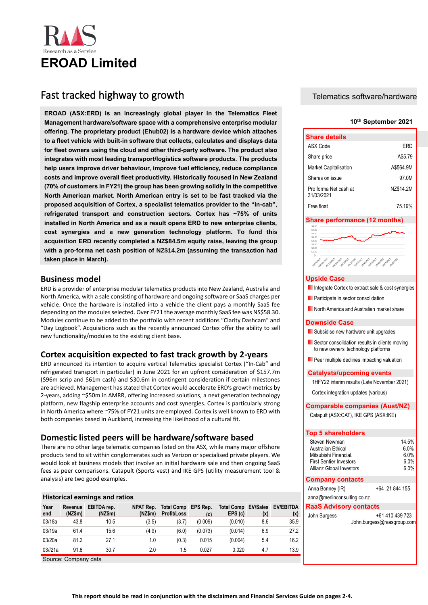

# Fast tracked highway to growth

**EROAD (ASX:ERD) is an increasingly global player in the Telematics Fleet Management hardware/software space with a comprehensive enterprise modular offering. The proprietary product (Ehub02) is a hardware device which attaches to a fleet vehicle with built-in software that collects, calculates and displays data for fleet owners using the cloud and other third-party software. The product also integrates with most leading transport/logistics software products. The products help users improve driver behaviour, improve fuel efficiency, reduce compliance costs and improve overall fleet productivity. Historically focused in New Zealand (70% of customers in FY21) the group has been growing solidly in the competitive North American market. North American entry is set to be fast tracked via the proposed acquisition of Cortex, a specialist telematics provider to the "in-cab", refrigerated transport and construction sectors. Cortex has ~75% of units installed in North America and as a result opens ERD to new enterprise clients, cost synergies and a new generation technology platform. To fund this acquisition ERD recently completed a NZ\$84.5m equity raise, leaving the group with a pro-forma net cash position of NZ\$14.2m (assuming the transaction had taken place in March).** 

# **Business model**

ERD is a provider of enterprise modular telematics products into New Zealand, Australia and North America, with a sale consisting of hardware and ongoing software or SaaS charges per vehicle. Once the hardware is installed into a vehicle the client pays a monthly SaaS fee depending on the modules selected. Over FY21 the average monthly SaaS fee was NS\$58.30. Modules continue to be added to the portfolio with recent additions "Clarity Dashcam" and "Day Logbook". Acquisitions such as the recently announced Cortex offer the ability to sell new functionality/modules to the existing client base.

# **Cortex acquisition expected to fast track growth by 2-years**

ERD announced its intention to acquire vertical Telematics specialist Cortex ("In-Cab" and refrigerated transport in particular) in June 2021 for an upfront consideration of \$157.7m (\$96m scrip and \$61m cash) and \$30.6m in contingent consideration if certain milestones are achieved. Management has stated that Cortex would accelerate ERD's growth metrics by 2-years, adding ~\$50m in AMRR, offering increased solutions, a next generation technology platform, new flagship enterprise accounts and cost synergies. Cortex is particularly strong in North America where ~75% of FY21 units are employed. Cortex is well known to ERD with both companies based in Auckland, increasing the likelihood of a cultural fit.

# **Domestic listed peers will be hardware/software based**

There are no other large telematic companies listed on the ASX, while many major offshore products tend to sit within conglomerates such as Verizon or specialised private players. We would look at business models that involve an initial hardware sale and then ongoing SaaS fees as peer comparisons. Catapult (Sports vest) and IKE GPS (utility measurement tool & analysis) are two good examples.

# **Historical earnings and ratios**

| Year<br>end | Revenue<br>(NZ\$m) | EBITDA rep.<br>(NZ\$m) | NPAT Rep.<br>$(NZ\$ m $)$ | <b>Total Comp</b><br><b>Profit/Loss</b> | EPS Rep.<br>(c) | <b>Total Comp</b><br>EPS(c) | <b>EV/Sales</b><br>(x) | EV/EBITDA<br>(x) |
|-------------|--------------------|------------------------|---------------------------|-----------------------------------------|-----------------|-----------------------------|------------------------|------------------|
| 03/18a      | 43.8               | 10.5                   | (3.5)                     | (3.7)                                   | (0.009)         | (0.010)                     | 8.6                    | 35.9             |
| 03/19a      | 61.4               | 15.6                   | (4.9)                     | (6.0)                                   | (0.073)         | (0.014)                     | 6.9                    | 27.2             |
| 03/20a      | 81.2               | 27.1                   | 1.0                       | (0.3)                                   | 0.015           | (0.004)                     | 5.4                    | 16.2             |
| 03//21a     | 91.6               | 30.7                   | 2.0                       | 1.5                                     | 0.027           | 0.020                       | 4.7                    | 13.9             |

Source: Company data

# Telematics software/hardware

# **10th September 2021**

| <b>Share details</b>                |           |
|-------------------------------------|-----------|
| ASX Code                            | FRD       |
| Share price                         | A\$5.79   |
| <b>Market Capitalisation</b>        | A\$564.9M |
| Shares on issue                     | 97.0M     |
| Pro forma Net cash at<br>31/03/2021 | NZ\$14.2M |
| Free float                          | 75 19%    |

# **Share performance (12 months)**



# **Upside Case**

- Integrate Cortex to extract sale & cost synergies
- **Participate in sector consolidation**
- North America and Australian market share

## **Downside Case**

- **Subsidise new hardware unit upgrades**
- Sector consolidation results in clients moving to new owners' technology platforms
- **Peer multiple declines impacting valuation**

# **Catalysts/upcoming events**

1HFY22 interim results (Late November 2021)

Cortex integration updates (various)

# **Comparable companies (Aust/NZ)**

Catapult (ASX:CAT), IKE GPS (ASX:IKE)

# **Top 5 shareholders**

| Steven Newman                  | 14.5% |
|--------------------------------|-------|
| Australian Ethical             | 6.0%  |
| Mitsubishi Financial.          | 6.0%  |
| <b>First Sentier Investors</b> | 6 0%  |
| Allianz Global Investors       | 6 0%  |

# **Company contacts**

| Anna Bonney (IR)            | +64 21 844 155 |  |  |
|-----------------------------|----------------|--|--|
| anna@merlinconsulting.co.nz |                |  |  |

# **RaaS Advisory contacts**

| John Burgess | +61 410 439 723            |
|--------------|----------------------------|
|              | John.burgess@raasgroup.com |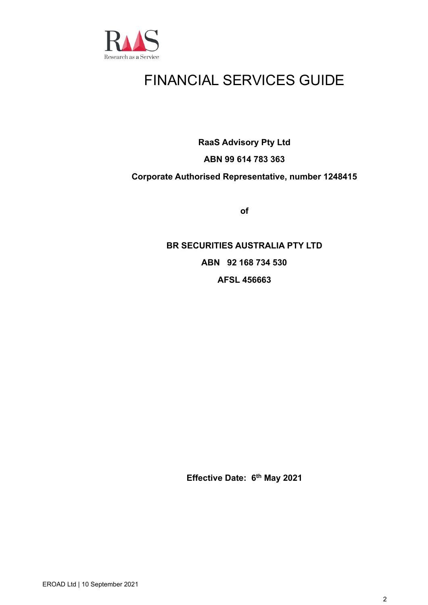

# FINANCIAL SERVICES GUIDE

**RaaS Advisory Pty Ltd**

# **ABN 99 614 783 363**

# **Corporate Authorised Representative, number 1248415**

**of**

**BR SECURITIES AUSTRALIA PTY LTD ABN 92 168 734 530 AFSL 456663**

**Effective Date: 6 th May 2021**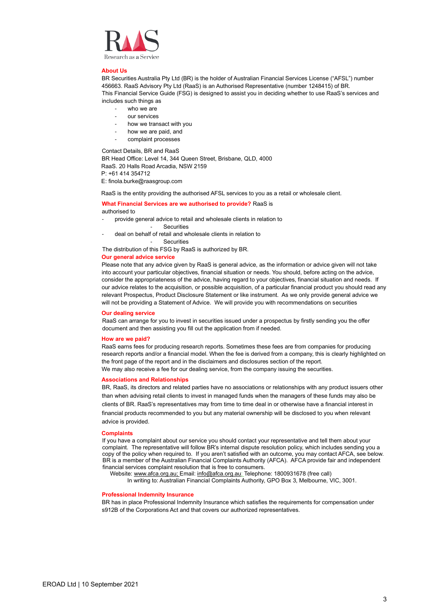

#### **About Us**

BR Securities Australia Pty Ltd (BR) is the holder of Australian Financial Services License ("AFSL") number 456663. RaaS Advisory Pty Ltd (RaaS) is an Authorised Representative (number 1248415) of BR. This Financial Service Guide (FSG) is designed to assist you in deciding whether to use RaaS's services and includes such things as

- who we are
- our services
- how we transact with you
- how we are paid, and
- complaint processes

Contact Details, BR and RaaS

BR Head Office: Level 14, 344 Queen Street, Brisbane, QLD, 4000 RaaS. 20 Halls Road Arcadia, NSW 2159 P: +61 414 354712

E: finola.burke@raasgroup.com

RaaS is the entity providing the authorised AFSL services to you as a retail or wholesale client.

### **What Financial Services are we authorised to provide?** RaaS is authorised to

- provide general advice to retail and wholesale clients in relation to
	- Securities
- deal on behalf of retail and wholesale clients in relation to

**Securities** 

The distribution of this FSG by RaaS is authorized by BR.

### **Our general advice service**

Please note that any advice given by RaaS is general advice, as the information or advice given will not take into account your particular objectives, financial situation or needs. You should, before acting on the advice, consider the appropriateness of the advice, having regard to your objectives, financial situation and needs. If our advice relates to the acquisition, or possible acquisition, of a particular financial product you should read any relevant Prospectus, Product Disclosure Statement or like instrument. As we only provide general advice we will not be providing a Statement of Advice. We will provide you with recommendations on securities

# **Our dealing service**

RaaS can arrange for you to invest in securities issued under a prospectus by firstly sending you the offer document and then assisting you fill out the application from if needed.

#### **How are we paid?**

RaaS earns fees for producing research reports. Sometimes these fees are from companies for producing research reports and/or a financial model. When the fee is derived from a company, this is clearly highlighted on the front page of the report and in the disclaimers and disclosures section of the report. We may also receive a fee for our dealing service, from the company issuing the securities.

# **Associations and Relationships**

BR, RaaS, its directors and related parties have no associations or relationships with any product issuers other than when advising retail clients to invest in managed funds when the managers of these funds may also be clients of BR. RaaS's representatives may from time to time deal in or otherwise have a financial interest in financial products recommended to you but any material ownership will be disclosed to you when relevant advice is provided.

#### **Complaints**

If you have a complaint about our service you should contact your representative and tell them about your complaint. The representative will follow BR's internal dispute resolution policy, which includes sending you a copy of the policy when required to. If you aren't satisfied with an outcome, you may contact AFCA, see below. BR is a member of the Australian Financial Complaints Authority (AFCA). AFCA provide fair and independent financial services complaint resolution that is free to consumers.

Website[: www.afca.org.au;](about:blank) Email[: info@afca.org.au;](about:blank) Telephone: 1800931678 (free call)

In writing to: Australian Financial Complaints Authority, GPO Box 3, Melbourne, VIC, 3001.

# **Professional Indemnity Insurance**

BR has in place Professional Indemnity Insurance which satisfies the requirements for compensation under s912B of the Corporations Act and that covers our authorized representatives.